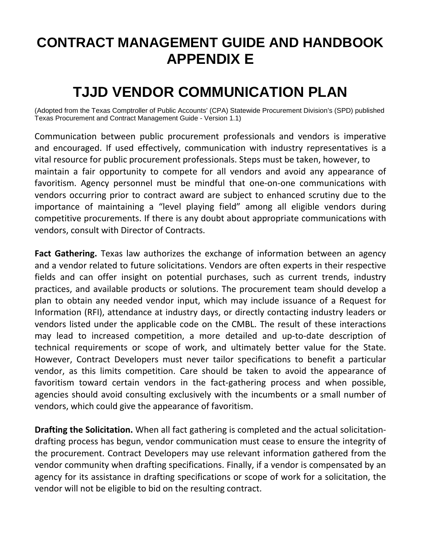## **CONTRACT MANAGEMENT GUIDE AND HANDBOOK APPENDIX E**

## **TJJD VENDOR COMMUNICATION PLAN**

(Adopted from the Texas Comptroller of Public Accounts' (CPA) Statewide Procurement Division's (SPD) published Texas Procurement and Contract Management Guide - Version 1.1)

Communication between public procurement professionals and vendors is imperative and encouraged. If used effectively, communication with industry representatives is a vital resource for public procurement professionals. Steps must be taken, however, to maintain a fair opportunity to compete for all vendors and avoid any appearance of favoritism. Agency personnel must be mindful that one-on-one communications with vendors occurring prior to contract award are subject to enhanced scrutiny due to the importance of maintaining a "level playing field" among all eligible vendors during competitive procurements. If there is any doubt about appropriate communications with vendors, consult with Director of Contracts.

**Fact Gathering.** Texas law authorizes the exchange of information between an agency and a vendor related to future solicitations. Vendors are often experts in their respective fields and can offer insight on potential purchases, such as current trends, industry practices, and available products or solutions. The procurement team should develop a plan to obtain any needed vendor input, which may include issuance of a Request for Information (RFI), attendance at industry days, or directly contacting industry leaders or vendors listed under the applicable code on the CMBL. The result of these interactions may lead to increased competition, a more detailed and up-to-date description of technical requirements or scope of work, and ultimately better value for the State. However, Contract Developers must never tailor specifications to benefit a particular vendor, as this limits competition. Care should be taken to avoid the appearance of favoritism toward certain vendors in the fact-gathering process and when possible, agencies should avoid consulting exclusively with the incumbents or a small number of vendors, which could give the appearance of favoritism.

**Drafting the Solicitation.** When all fact gathering is completed and the actual solicitationdrafting process has begun, vendor communication must cease to ensure the integrity of the procurement. Contract Developers may use relevant information gathered from the vendor community when drafting specifications. Finally, if a vendor is compensated by an agency for its assistance in drafting specifications or scope of work for a solicitation, the vendor will not be eligible to bid on the resulting contract.